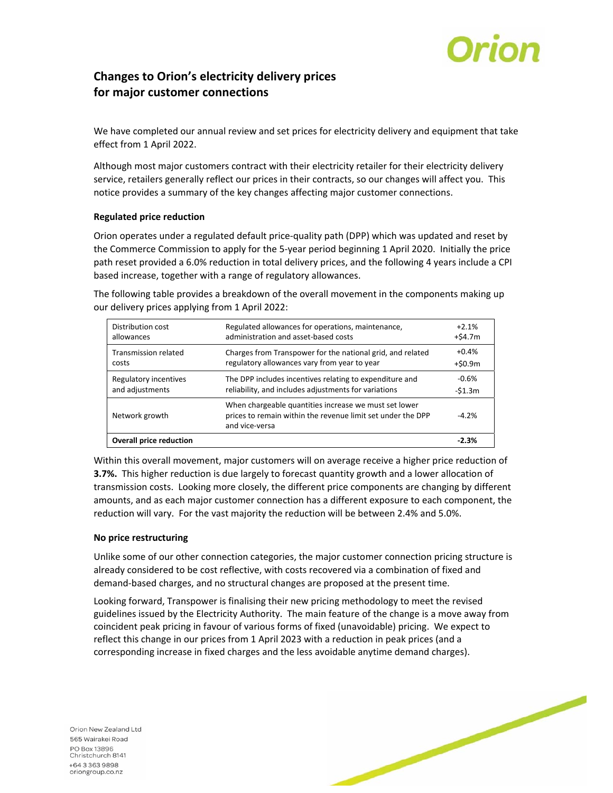

# **Changes to Orion's electricity delivery prices for major customer connections**

We have completed our annual review and set prices for electricity delivery and equipment that take effect from 1 April 2022.

Although most major customers contract with their electricity retailer for their electricity delivery service, retailers generally reflect our prices in their contracts, so our changes will affect you. This notice provides a summary of the key changes affecting major customer connections.

### **Regulated price reduction**

Orion operates under a regulated default price‐quality path (DPP) which was updated and reset by the Commerce Commission to apply for the 5‐year period beginning 1 April 2020. Initially the price path reset provided a 6.0% reduction in total delivery prices, and the following 4 years include a CPI based increase, together with a range of regulatory allowances.

The following table provides a breakdown of the overall movement in the components making up our delivery prices applying from 1 April 2022:

| Distribution cost              | Regulated allowances for operations, maintenance,                                                                                      | $+2.1%$    |
|--------------------------------|----------------------------------------------------------------------------------------------------------------------------------------|------------|
| allowances                     | administration and asset-based costs                                                                                                   | $+54.7m$   |
| <b>Transmission related</b>    | Charges from Transpower for the national grid, and related                                                                             | $+0.4%$    |
| costs                          | regulatory allowances vary from year to year                                                                                           | $+$ \$0.9m |
| Regulatory incentives          | The DPP includes incentives relating to expenditure and                                                                                | $-0.6%$    |
| and adjustments                | reliability, and includes adjustments for variations                                                                                   | $-51.3m$   |
| Network growth                 | When chargeable quantities increase we must set lower<br>prices to remain within the revenue limit set under the DPP<br>and vice-versa | $-4.2%$    |
| <b>Overall price reduction</b> |                                                                                                                                        | $-2.3%$    |

Within this overall movement, major customers will on average receive a higher price reduction of **3.7%.**  This higher reduction is due largely to forecast quantity growth and a lower allocation of transmission costs. Looking more closely, the different price components are changing by different amounts, and as each major customer connection has a different exposure to each component, the reduction will vary. For the vast majority the reduction will be between 2.4% and 5.0%.

### **No price restructuring**

Unlike some of our other connection categories, the major customer connection pricing structure is already considered to be cost reflective, with costs recovered via a combination of fixed and demand‐based charges, and no structural changes are proposed at the present time.

Looking forward, Transpower is finalising their new pricing methodology to meet the revised guidelines issued by the Electricity Authority. The main feature of the change is a move away from coincident peak pricing in favour of various forms of fixed (unavoidable) pricing. We expect to reflect this change in our prices from 1 April 2023 with a reduction in peak prices (and a corresponding increase in fixed charges and the less avoidable anytime demand charges).

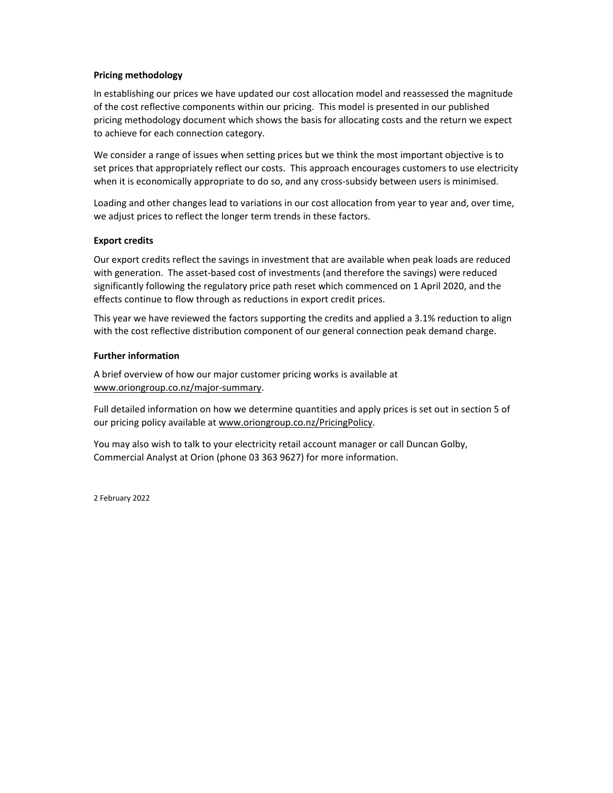### **Pricing methodology**

In establishing our prices we have updated our cost allocation model and reassessed the magnitude of the cost reflective components within our pricing. This model is presented in our published pricing methodology document which shows the basis for allocating costs and the return we expect to achieve for each connection category.

We consider a range of issues when setting prices but we think the most important objective is to set prices that appropriately reflect our costs. This approach encourages customers to use electricity when it is economically appropriate to do so, and any cross-subsidy between users is minimised.

Loading and other changes lead to variations in our cost allocation from year to year and, over time, we adjust prices to reflect the longer term trends in these factors.

#### **Export credits**

Our export credits reflect the savings in investment that are available when peak loads are reduced with generation. The asset-based cost of investments (and therefore the savings) were reduced significantly following the regulatory price path reset which commenced on 1 April 2020, and the effects continue to flow through as reductions in export credit prices.

This year we have reviewed the factors supporting the credits and applied a 3.1% reduction to align with the cost reflective distribution component of our general connection peak demand charge.

#### **Further information**

A brief overview of how our major customer pricing works is available at www.oriongroup.co.nz/major‐summary.

Full detailed information on how we determine quantities and apply prices is set out in section 5 of our pricing policy available at www.oriongroup.co.nz/PricingPolicy.

You may also wish to talk to your electricity retail account manager or call Duncan Golby, Commercial Analyst at Orion (phone 03 363 9627) for more information.

2 February 2022